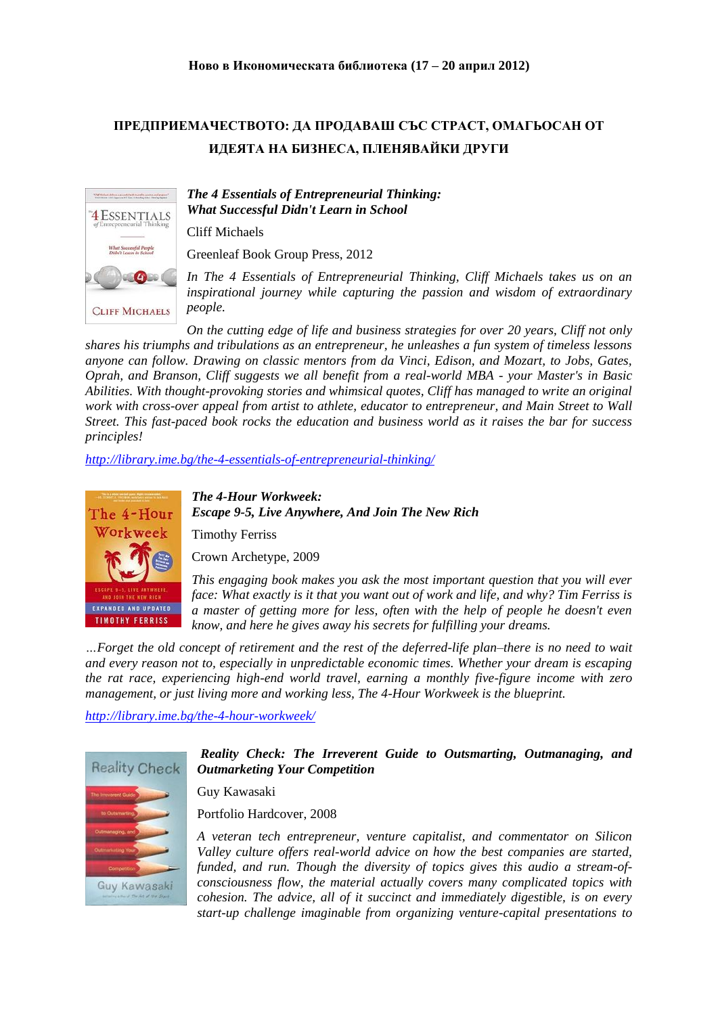## **ПРЕДПРИЕМАЧЕСТВОТО: ДА ПРОДАВАШ СЪС СТРАСТ, ОМАГЬОСАН ОТ ИДЕЯТА НА БИЗНЕСА, ПЛЕНЯВАЙКИ ДРУГИ**



## *The 4 Essentials of Entrepreneurial Thinking: What Successful Didn't Learn in School*

Cliff Michaels

Greenleaf Book Group Press, 2012

*In The 4 Essentials of Entrepreneurial Thinking, Cliff Michaels takes us on an inspirational journey while capturing the passion and wisdom of extraordinary people.* 

*On the cutting edge of life and business strategies for over 20 years, Cliff not only shares his triumphs and tribulations as an entrepreneur, he unleashes a fun system of timeless lessons anyone can follow. Drawing on classic mentors from da Vinci, Edison, and Mozart, to Jobs, Gates, Oprah, and Branson, Cliff suggests we all benefit from a real-world MBA - your Master's in Basic Abilities. With thought-provoking stories and whimsical quotes, Cliff has managed to write an original work with cross-over appeal from artist to athlete, educator to entrepreneur, and Main Street to Wall Street. This fast-paced book rocks the education and business world as it raises the bar for success principles!*

*<http://library.ime.bg/the-4-essentials-of-entrepreneurial-thinking/>*



*The 4-Hour Workweek: Escape 9-5, Live Anywhere, And Join The New Rich*

Timothy Ferriss

Crown Archetype, 2009

*This engaging book makes you ask the most important question that you will ever face: What exactly is it that you want out of work and life, and why? Tim Ferriss is a master of getting more for less, often with the help of people he doesn't even know, and here he gives away his secrets for fulfilling your dreams.*

*…Forget the old concept of retirement and the rest of the deferred-life plan–there is no need to wait and every reason not to, especially in unpredictable economic times. Whether your dream is escaping the rat race, experiencing high-end world travel, earning a monthly five-figure income with zero management, or just living more and working less, The 4-Hour Workweek is the blueprint.* 

*<http://library.ime.bg/the-4-hour-workweek/>*



*Reality Check: The Irreverent Guide to Outsmarting, Outmanaging, and Outmarketing Your Competition*

Guy Kawasaki

Portfolio Hardcover, 2008

*A veteran tech entrepreneur, venture capitalist, and commentator on Silicon Valley culture offers real-world advice on how the best companies are started, funded, and run. Though the diversity of topics gives this audio a stream-ofconsciousness flow, the material actually covers many complicated topics with cohesion. The advice, all of it succinct and immediately digestible, is on every start-up challenge imaginable from organizing venture-capital presentations to*